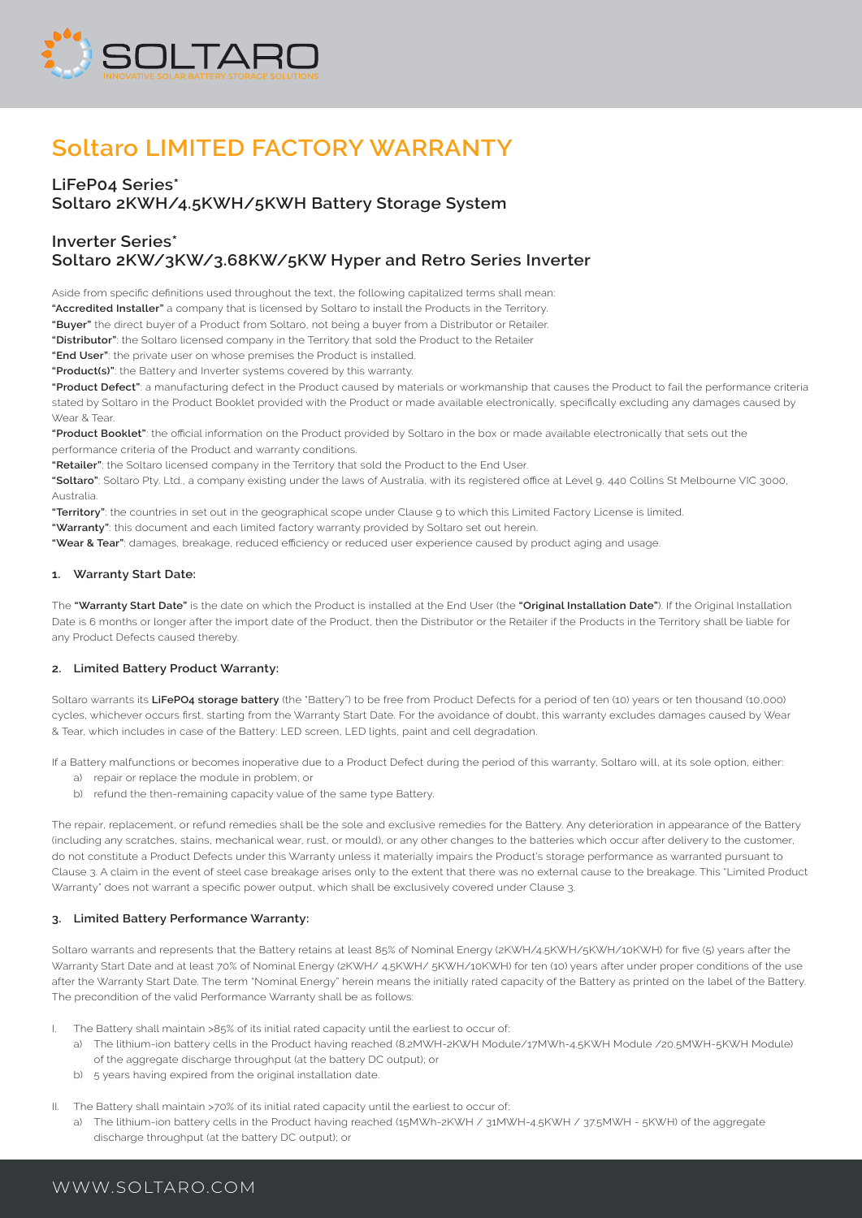

# **Soltaro LIMITED FACTORY WARRANTY**

# **LiFeP04 Series\* Soltaro 2KWH/4.5KWH/5KWH Battery Storage System**

# **Inverter Series\* Soltaro 2KW/3KW/3.68KW/5KW Hyper and Retro Series Inverter**

Aside from specific definitions used throughout the text, the following capitalized terms shall mean:

**"Accredited Installer"** a company that is licensed by Soltaro to install the Products in the Territory.

**"Buyer"** the direct buyer of a Product from Soltaro, not being a buyer from a Distributor or Retailer.

**"Distributor"**: the Soltaro licensed company in the Territory that sold the Product to the Retailer

**"End User"**: the private user on whose premises the Product is installed.

**"Product(s)"**: the Battery and Inverter systems covered by this warranty.

**"Product Defect"**: a manufacturing defect in the Product caused by materials or workmanship that causes the Product to fail the performance criteria stated by Soltaro in the Product Booklet provided with the Product or made available electronically, specifically excluding any damages caused by Wear & Tear.

**"Product Booklet"**: the official information on the Product provided by Soltaro in the box or made available electronically that sets out the performance criteria of the Product and warranty conditions.

**"Retailer"**: the Soltaro licensed company in the Territory that sold the Product to the End User.

**"Soltaro"**: Soltaro Pty. Ltd., a company existing under the laws of Australia, with its registered office at Level 9, 440 Collins St Melbourne VIC 3000, Australia.

**"Territory"**: the countries in set out in the geographical scope under Clause 9 to which this Limited Factory License is limited.

**"Warranty"**: this document and each limited factory warranty provided by Soltaro set out herein.

**"Wear & Tear"**: damages, breakage, reduced efficiency or reduced user experience caused by product aging and usage.

## **1. Warranty Start Date:**

The **"Warranty Start Date"** is the date on which the Product is installed at the End User (the **"Original Installation Date"**). If the Original Installation Date is 6 months or longer after the import date of the Product, then the Distributor or the Retailer if the Products in the Territory shall be liable for any Product Defects caused thereby.

# **2. Limited Battery Product Warranty:**

Soltaro warrants its **LiFePO4 storage battery** (the "Battery") to be free from Product Defects for a period of ten (10) years or ten thousand (10,000) cycles, whichever occurs first, starting from the Warranty Start Date. For the avoidance of doubt, this warranty excludes damages caused by Wear & Tear, which includes in case of the Battery: LED screen, LED lights, paint and cell degradation.

If a Battery malfunctions or becomes inoperative due to a Product Defect during the period of this warranty, Soltaro will, at its sole option, either:

- a) repair or replace the module in problem, or
- b) refund the then-remaining capacity value of the same type Battery.

The repair, replacement, or refund remedies shall be the sole and exclusive remedies for the Battery. Any deterioration in appearance of the Battery (including any scratches, stains, mechanical wear, rust, or mould), or any other changes to the batteries which occur after delivery to the customer, do not constitute a Product Defects under this Warranty unless it materially impairs the Product's storage performance as warranted pursuant to Clause 3. A claim in the event of steel case breakage arises only to the extent that there was no external cause to the breakage. This "Limited Product Warranty" does not warrant a specific power output, which shall be exclusively covered under Clause 3.

# **3. Limited Battery Performance Warranty:**

Soltaro warrants and represents that the Battery retains at least 85% of Nominal Energy (2KWH/4.5KWH/5KWH/10KWH) for five (5) years after the Warranty Start Date and at least 70% of Nominal Energy (2KWH/ 4.5KWH/ 5KWH/10KWH) for ten (10) years after under proper conditions of the use after the Warranty Start Date. The term "Nominal Energy" herein means the initially rated capacity of the Battery as printed on the label of the Battery. The precondition of the valid Performance Warranty shall be as follows:

- I. The Battery shall maintain >85% of its initial rated capacity until the earliest to occur of:
	- a) The lithium-ion battery cells in the Product having reached (8.2MWH-2KWH Module/17MWh-4.5KWH Module /20.5MWH-5KWH Module) of the aggregate discharge throughput (at the battery DC output); or
	- b) 5 years having expired from the original installation date.
- II. The Battery shall maintain >70% of its initial rated capacity until the earliest to occur of:
	- a) The lithium-ion battery cells in the Product having reached (15MWh-2KWH / 31MWH-4.5KWH / 37.5MWH 5KWH) of the aggregate discharge throughput (at the battery DC output); or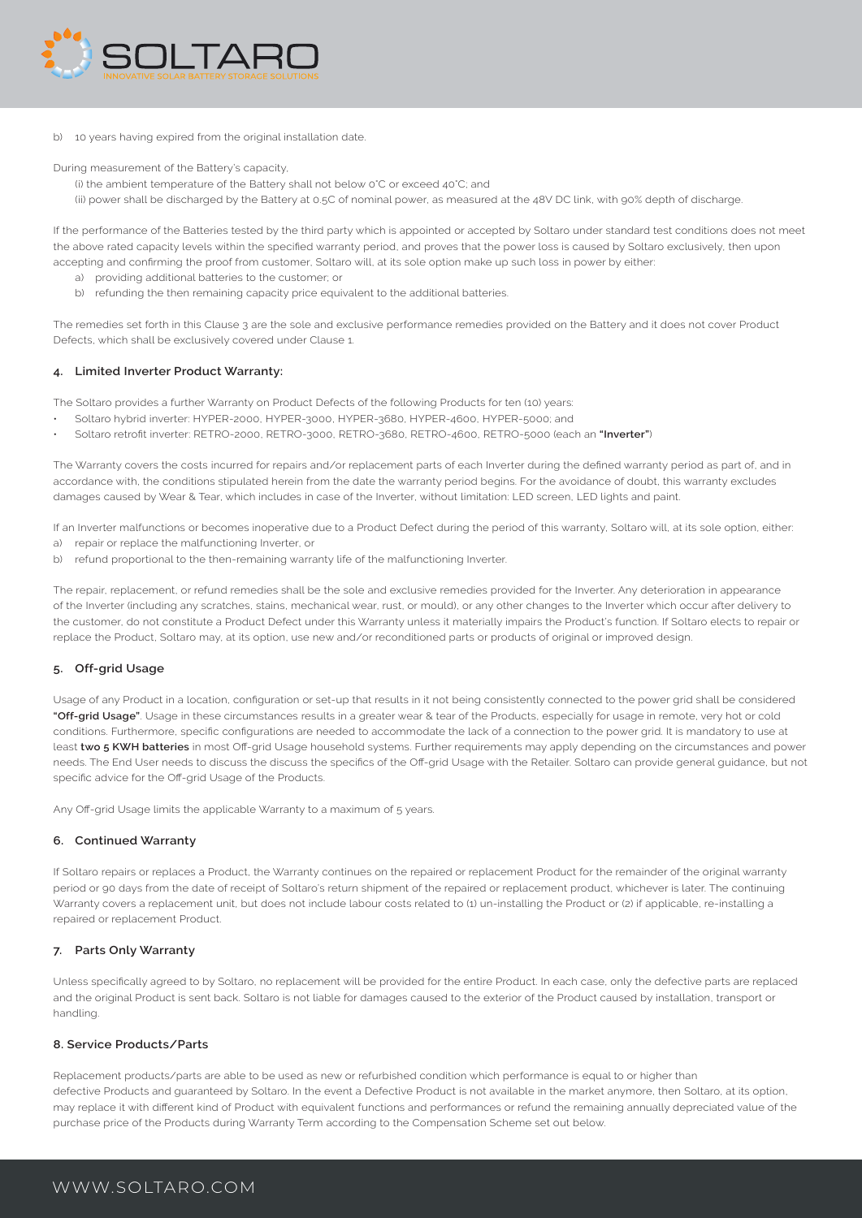

b) 10 years having expired from the original installation date

During measurement of the Battery's capacity,

- (i) the ambient temperature of the Battery shall not below 0°C or exceed 40°C; and
- (ii) power shall be discharged by the Battery at 0.5C of nominal power, as measured at the 48V DC link, with 90% depth of discharge

If the performance of the Batteries tested by the third party which is appointed or accepted by Soltaro under standard test conditions does not meet the above rated capacity levels within the specified warranty period, and proves that the power loss is caused by Soltaro exclusively, then upon accepting and confirming the proof from customer, Soltaro will, at its sole option make up such loss in power by either:

- a) providing additional batteries to the customer; or
- b) refunding the then remaining capacity price equivalent to the additional batteries.

The remedies set forth in this Clause 3 are the sole and exclusive performance remedies provided on the Battery and it does not cover Product Defects, which shall be exclusively covered under Clause 1.

# **4. Limited Inverter Product Warranty:**

The Soltaro provides a further Warranty on Product Defects of the following Products for ten (10) years:

- Soltaro hybrid inverter: HYPER-2000, HYPER-3000, HYPER-3680, HYPER-4600, HYPER-5000; and
- Soltaro retrofit inverter: RETRO-2000, RETRO-3000, RETRO-3680, RETRO-4600, RETRO-5000 (each an **"Inverter"**)

The Warranty covers the costs incurred for repairs and/or replacement parts of each Inverter during the defined warranty period as part of, and in accordance with, the conditions stipulated herein from the date the warranty period begins. For the avoidance of doubt, this warranty excludes damages caused by Wear & Tear, which includes in case of the Inverter, without limitation: LED screen, LED lights and paint.

If an Inverter malfunctions or becomes inoperative due to a Product Defect during the period of this warranty, Soltaro will, at its sole option, either:

- a) repair or replace the malfunctioning Inverter, or
- b) refund proportional to the then-remaining warranty life of the malfunctioning Inverter.

The repair, replacement, or refund remedies shall be the sole and exclusive remedies provided for the Inverter. Any deterioration in appearance of the Inverter (including any scratches, stains, mechanical wear, rust, or mould), or any other changes to the Inverter which occur after delivery to the customer, do not constitute a Product Defect under this Warranty unless it materially impairs the Product's function. If Soltaro elects to repair or replace the Product, Soltaro may, at its option, use new and/or reconditioned parts or products of original or improved design.

#### **5. Off-grid Usage**

Usage of any Product in a location, configuration or set-up that results in it not being consistently connected to the power grid shall be considered **"Off-grid Usage"**. Usage in these circumstances results in a greater wear & tear of the Products, especially for usage in remote, very hot or cold conditions. Furthermore, specific configurations are needed to accommodate the lack of a connection to the power grid. It is mandatory to use at least **two 5 KWH batteries** in most Off-grid Usage household systems. Further requirements may apply depending on the circumstances and power needs. The End User needs to discuss the discuss the specifics of the Off-grid Usage with the Retailer. Soltaro can provide general guidance, but not specific advice for the Off-grid Usage of the Products.

Any Off-grid Usage limits the applicable Warranty to a maximum of 5 years.

# **6. Continued Warranty**

If Soltaro repairs or replaces a Product, the Warranty continues on the repaired or replacement Product for the remainder of the original warranty period or 90 days from the date of receipt of Soltaro's return shipment of the repaired or replacement product, whichever is later. The continuing Warranty covers a replacement unit, but does not include labour costs related to (1) un-installing the Product or (2) if applicable, re-installing a repaired or replacement Product.

# **7. Parts Only Warranty**

Unless specifically agreed to by Soltaro, no replacement will be provided for the entire Product. In each case, only the defective parts are replaced and the original Product is sent back. Soltaro is not liable for damages caused to the exterior of the Product caused by installation, transport or handling.

### **8. Service Products/Parts**

Replacement products/parts are able to be used as new or refurbished condition which performance is equal to or higher than defective Products and guaranteed by Soltaro. In the event a Defective Product is not available in the market anymore, then Soltaro, at its option, may replace it with different kind of Product with equivalent functions and performances or refund the remaining annually depreciated value of the purchase price of the Products during Warranty Term according to the Compensation Scheme set out below.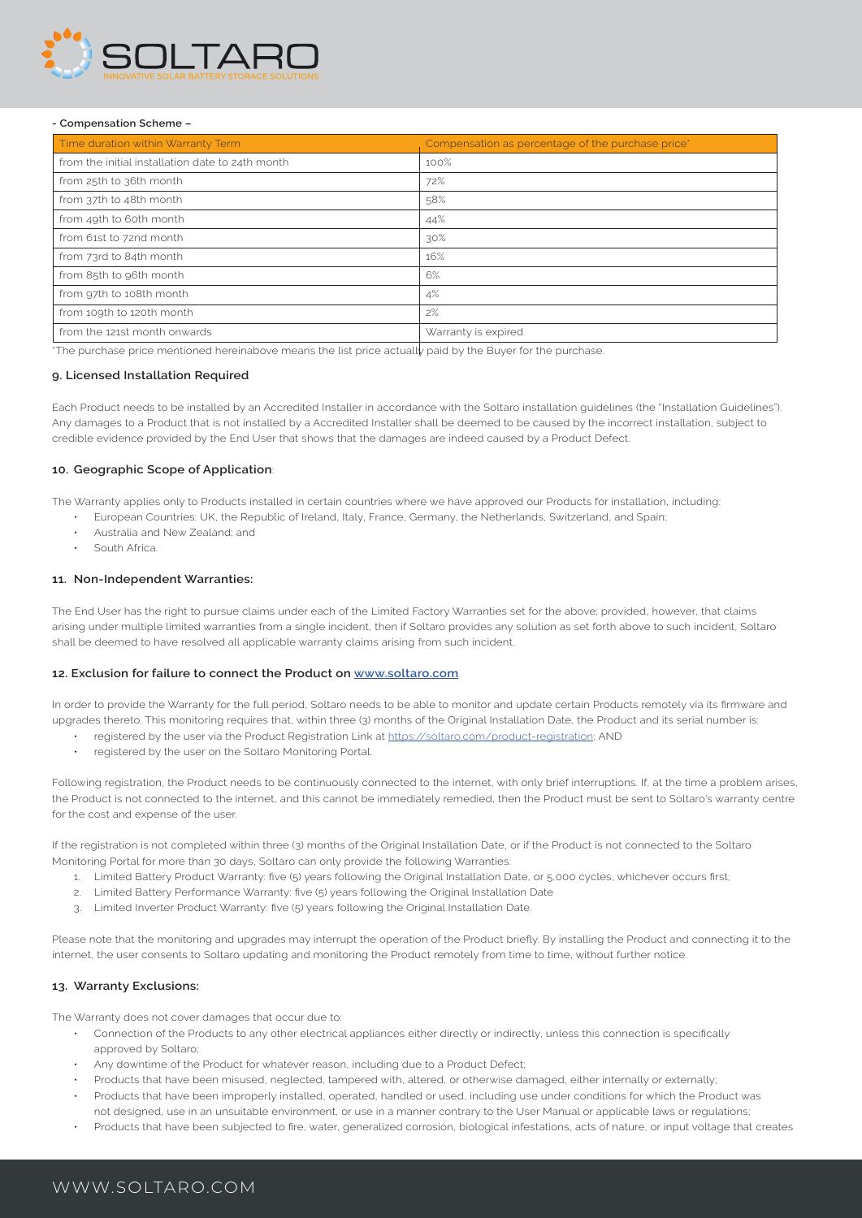

#### **- Compensation Scheme –**

| Time duration within Warranty Term               | Compensation as percentage of the purchase price* |
|--------------------------------------------------|---------------------------------------------------|
| from the initial installation date to 24th month | 100%                                              |
| from 25th to 36th month                          | 72%                                               |
| from 37th to 48th month                          | 58%                                               |
| from 49th to 60th month                          | 44%                                               |
| from 61st to 72nd month                          | 30%                                               |
| from 73rd to 84th month                          | 16%                                               |
| from 85th to 96th month                          | 6%                                                |
| from 97th to 108th month                         | 4%                                                |
| from 109th to 120th month                        | 2%                                                |
| from the 121st month onwards                     | Warranty is expired                               |

\*The purchase price mentioned hereinabove means the list price actually paid by the Buyer for the purchase.

#### **9. Licensed Installation Required**

Each Product needs to be installed by an Accredited Installer in accordance with the Soltaro installation guidelines (the "Installation Guidelines"). Any damages to a Product that is not installed by a Accredited Installer shall be deemed to be caused by the incorrect installation, subject to credible evidence provided by the End User that shows that the damages are indeed caused by a Product Defect.

## **10. Geographic Scope of Application**:

The Warranty applies only to Products installed in certain countries where we have approved our Products for installation, including:

- European Countries: UK, the Republic of Ireland, Italy, France, Germany, the Netherlands, Switzerland, and Spain;
- Australia and New Zealand; and
- South Africa.

#### **11. Non-Independent Warranties:**

The End User has the right to pursue claims under each of the Limited Factory Warranties set for the above; provided, however, that claims arising under multiple limited warranties from a single incident, then if Soltaro provides any solution as set forth above to such incident, Soltaro shall be deemed to have resolved all applicable warranty claims arising from such incident.

## **12. Exclusion for failure to connect the Product on www.soltaro.com**

In order to provide the Warranty for the full period, Soltaro needs to be able to monitor and update certain Products remotely via its firmware and upgrades thereto. This monitoring requires that, within three (3) months of the Original Installation Date, the Product and its serial number is:

- registered by the user via the Product Registration Link at https://soltaro.com/product-registration: AND
	- registered by the user on the Soltaro Monitoring Portal.

Following registration, the Product needs to be continuously connected to the internet, with only brief interruptions. If, at the time a problem arises, the Product is not connected to the internet, and this cannot be immediately remedied, then the Product must be sent to Soltaro's warranty centre for the cost and expense of the user.

If the registration is not completed within three (3) months of the Original Installation Date, or if the Product is not connected to the Soltaro Monitoring Portal for more than 30 days, Soltaro can only provide the following Warranties:

- 1. Limited Battery Product Warranty: five (5) years following the Original Installation Date, or 5,000 cycles, whichever occurs first;
- 2. Limited Battery Performance Warranty: five (5) years following the Original Installation Date
- 3. Limited Inverter Product Warranty: five (5) years following the Original Installation Date.

Please note that the monitoring and upgrades may interrupt the operation of the Product briefly. By installing the Product and connecting it to the internet, the user consents to Soltaro updating and monitoring the Product remotely from time to time, without further notice.

#### **13. Warranty Exclusions:**

The Warranty does not cover damages that occur due to:

- Connection of the Products to any other electrical appliances either directly or indirectly, unless this connection is specifically approved by Soltaro;
- Any downtime of the Product for whatever reason, including due to a Product Defect;
- Products that have been misused, neglected, tampered with, altered, or otherwise damaged, either internally or externally;
- Products that have been improperly installed, operated, handled or used, including use under conditions for which the Product was not designed, use in an unsuitable environment, or use in a manner contrary to the User Manual or applicable laws or regulations;
- Products that have been subjected to fire, water, generalized corrosion, biological infestations, acts of nature, or input voltage that creates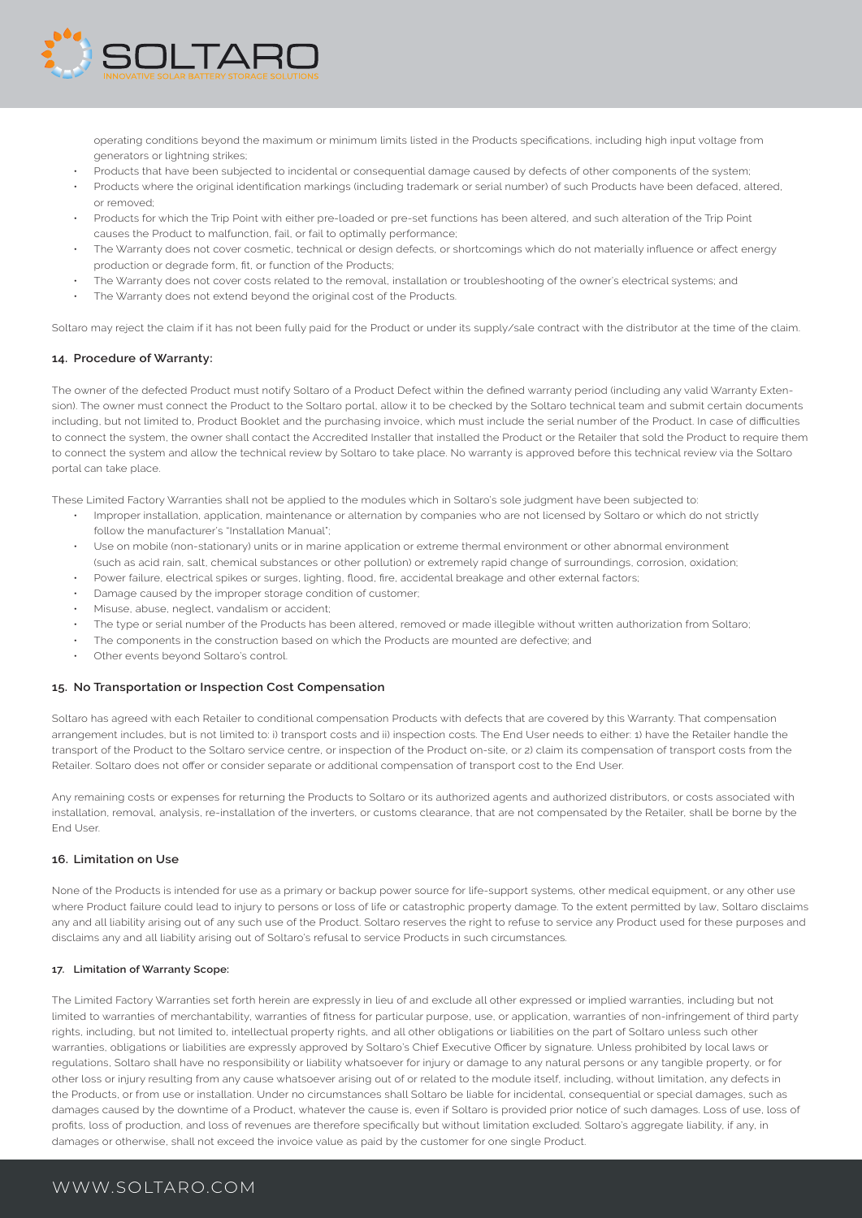

operating conditions beyond the maximum or minimum limits listed in the Products specifications, including high input voltage from generators or lightning strikes;

- Products that have been subjected to incidental or consequential damage caused by defects of other components of the system;
- Products where the original identification markings (including trademark or serial number) of such Products have been defaced, altered, or removed;
- Products for which the Trip Point with either pre-loaded or pre-set functions has been altered, and such alteration of the Trip Point causes the Product to malfunction, fail, or fail to optimally performance;
- The Warranty does not cover cosmetic, technical or design defects, or shortcomings which do not materially influence or affect energy production or degrade form, fit, or function of the Products;
- The Warranty does not cover costs related to the removal, installation or troubleshooting of the owner's electrical systems; and
- The Warranty does not extend beyond the original cost of the Products.

Soltaro may reject the claim if it has not been fully paid for the Product or under its supply/sale contract with the distributor at the time of the claim.

# **14. Procedure of Warranty:**

The owner of the defected Product must notify Soltaro of a Product Defect within the defined warranty period (including any valid Warranty Extension). The owner must connect the Product to the Soltaro portal, allow it to be checked by the Soltaro technical team and submit certain documents including, but not limited to, Product Booklet and the purchasing invoice, which must include the serial number of the Product. In case of difficulties to connect the system, the owner shall contact the Accredited Installer that installed the Product or the Retailer that sold the Product to require them to connect the system and allow the technical review by Soltaro to take place. No warranty is approved before this technical review via the Soltaro portal can take place.

These Limited Factory Warranties shall not be applied to the modules which in Soltaro's sole judgment have been subjected to:

- Improper installation, application, maintenance or alternation by companies who are not licensed by Soltaro or which do not strictly follow the manufacturer's "Installation Manual";
- Use on mobile (non-stationary) units or in marine application or extreme thermal environment or other abnormal environment (such as acid rain, salt, chemical substances or other pollution) or extremely rapid change of surroundings, corrosion, oxidation;
- Power failure, electrical spikes or surges, lighting, flood, fire, accidental breakage and other external factors;
- Damage caused by the improper storage condition of customer;
- Misuse, abuse, neglect, vandalism or accident;
- The type or serial number of the Products has been altered, removed or made illegible without written authorization from Soltaro;
- The components in the construction based on which the Products are mounted are defective; and
- Other events beyond Soltaro's control.

#### **15. No Transportation or Inspection Cost Compensation**

Soltaro has agreed with each Retailer to conditional compensation Products with defects that are covered by this Warranty. That compensation arrangement includes, but is not limited to: i) transport costs and ii) inspection costs. The End User needs to either: 1) have the Retailer handle the transport of the Product to the Soltaro service centre, or inspection of the Product on-site, or 2) claim its compensation of transport costs from the Retailer. Soltaro does not offer or consider separate or additional compensation of transport cost to the End User.

Any remaining costs or expenses for returning the Products to Soltaro or its authorized agents and authorized distributors, or costs associated with installation, removal, analysis, re-installation of the inverters, or customs clearance, that are not compensated by the Retailer, shall be borne by the End User.

#### **16. Limitation on Use**

None of the Products is intended for use as a primary or backup power source for life-support systems, other medical equipment, or any other use where Product failure could lead to injury to persons or loss of life or catastrophic property damage. To the extent permitted by law, Soltaro disclaims any and all liability arising out of any such use of the Product. Soltaro reserves the right to refuse to service any Product used for these purposes and disclaims any and all liability arising out of Soltaro's refusal to service Products in such circumstances.

#### **17. Limitation of Warranty Scope:**

The Limited Factory Warranties set forth herein are expressly in lieu of and exclude all other expressed or implied warranties, including but not limited to warranties of merchantability, warranties of fitness for particular purpose, use, or application, warranties of non-infringement of third party rights, including, but not limited to, intellectual property rights, and all other obligations or liabilities on the part of Soltaro unless such other warranties, obligations or liabilities are expressly approved by Soltaro's Chief Executive Officer by signature. Unless prohibited by local laws or regulations, Soltaro shall have no responsibility or liability whatsoever for injury or damage to any natural persons or any tangible property, or for other loss or injury resulting from any cause whatsoever arising out of or related to the module itself, including, without limitation, any defects in the Products, or from use or installation. Under no circumstances shall Soltaro be liable for incidental, consequential or special damages, such as damages caused by the downtime of a Product, whatever the cause is, even if Soltaro is provided prior notice of such damages. Loss of use, loss of profits, loss of production, and loss of revenues are therefore specifically but without limitation excluded. Soltaro's aggregate liability, if any, in damages or otherwise, shall not exceed the invoice value as paid by the customer for one single Product.

# WWW.SOLTARO.COM